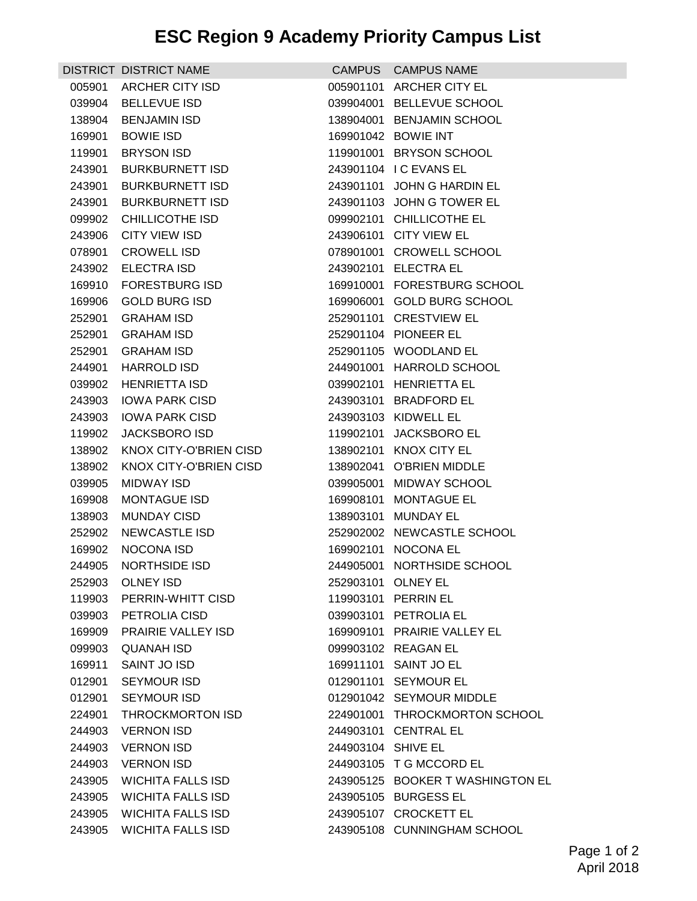## **ESC Region 9 Academy Priority Campus List**

|        | DISTRICT DISTRICT NAME    |                    | CAMPUS CAMPUS NAME               |
|--------|---------------------------|--------------------|----------------------------------|
| 005901 | <b>ARCHER CITY ISD</b>    |                    | 005901101 ARCHER CITY EL         |
| 039904 | <b>BELLEVUE ISD</b>       |                    | 039904001 BELLEVUE SCHOOL        |
| 138904 | <b>BENJAMIN ISD</b>       |                    | 138904001 BENJAMIN SCHOOL        |
| 169901 | <b>BOWIE ISD</b>          |                    | 169901042 BOWIE INT              |
| 119901 | BRYSON ISD                |                    | 119901001 BRYSON SCHOOL          |
| 243901 | <b>BURKBURNETT ISD</b>    |                    | 243901104 I C EVANS EL           |
| 243901 | <b>BURKBURNETT ISD</b>    |                    | 243901101 JOHN G HARDIN EL       |
| 243901 | <b>BURKBURNETT ISD</b>    |                    | 243901103 JOHN G TOWER EL        |
| 099902 | <b>CHILLICOTHE ISD</b>    |                    | 099902101 CHILLICOTHE EL         |
| 243906 | CITY VIEW ISD             |                    | 243906101 CITY VIEW EL           |
| 078901 | <b>CROWELL ISD</b>        |                    | 078901001 CROWELL SCHOOL         |
| 243902 | <b>ELECTRA ISD</b>        |                    | 243902101 ELECTRA EL             |
| 169910 | <b>FORESTBURG ISD</b>     |                    | 169910001 FORESTBURG SCHOOL      |
| 169906 | <b>GOLD BURG ISD</b>      |                    | 169906001 GOLD BURG SCHOOL       |
| 252901 | <b>GRAHAM ISD</b>         |                    | 252901101 CRESTVIEW EL           |
| 252901 | <b>GRAHAM ISD</b>         |                    | 252901104 PIONEER EL             |
| 252901 | <b>GRAHAM ISD</b>         |                    | 252901105 WOODLAND EL            |
| 244901 | <b>HARROLD ISD</b>        |                    | 244901001 HARROLD SCHOOL         |
| 039902 | <b>HENRIETTA ISD</b>      |                    | 039902101 HENRIETTA EL           |
| 243903 | <b>IOWA PARK CISD</b>     |                    | 243903101 BRADFORD EL            |
| 243903 | <b>IOWA PARK CISD</b>     |                    | 243903103 KIDWELL EL             |
| 119902 | <b>JACKSBORO ISD</b>      |                    | 119902101 JACKSBORO EL           |
| 138902 | KNOX CITY-O'BRIEN CISD    |                    | 138902101 KNOX CITY EL           |
| 138902 | KNOX CITY-O'BRIEN CISD    |                    | 138902041 O'BRIEN MIDDLE         |
| 039905 | <b>MIDWAY ISD</b>         |                    | 039905001 MIDWAY SCHOOL          |
| 169908 | <b>MONTAGUE ISD</b>       |                    | 169908101 MONTAGUE EL            |
| 138903 | <b>MUNDAY CISD</b>        |                    | 138903101 MUNDAY EL              |
| 252902 | <b>NEWCASTLE ISD</b>      |                    | 252902002 NEWCASTLE SCHOOL       |
| 169902 | NOCONA ISD                |                    | 169902101 NOCONA EL              |
|        | 244905 NORTHSIDE ISD      |                    | 244905001 NORTHSIDE SCHOOL       |
|        | 252903 OLNEY ISD          |                    | 252903101 OLNEY EL               |
|        | 119903 PERRIN-WHITT CISD  |                    | 119903101 PERRIN EL              |
| 039903 | PETROLIA CISD             |                    | 039903101 PETROLIA EL            |
| 169909 | <b>PRAIRIE VALLEY ISD</b> |                    | 169909101 PRAIRIE VALLEY EL      |
| 099903 | QUANAH ISD                |                    | 099903102 REAGAN EL              |
| 169911 | SAINT JO ISD              |                    | 169911101 SAINT JO EL            |
| 012901 | <b>SEYMOUR ISD</b>        |                    | 012901101 SEYMOUR EL             |
| 012901 | <b>SEYMOUR ISD</b>        |                    | 012901042 SEYMOUR MIDDLE         |
| 224901 | THROCKMORTON ISD          |                    | 224901001 THROCKMORTON SCHOOL    |
| 244903 | <b>VERNON ISD</b>         |                    | 244903101 CENTRAL EL             |
| 244903 | <b>VERNON ISD</b>         | 244903104 SHIVE EL |                                  |
| 244903 | <b>VERNON ISD</b>         |                    | 244903105 T G MCCORD EL          |
| 243905 | <b>WICHITA FALLS ISD</b>  |                    | 243905125 BOOKER T WASHINGTON EL |
|        | 243905 WICHITA FALLS ISD  |                    | 243905105 BURGESS EL             |
|        | 243905 WICHITA FALLS ISD  |                    | 243905107 CROCKETT EL            |
| 243905 | <b>WICHITA FALLS ISD</b>  |                    | 243905108 CUNNINGHAM SCHOOL      |